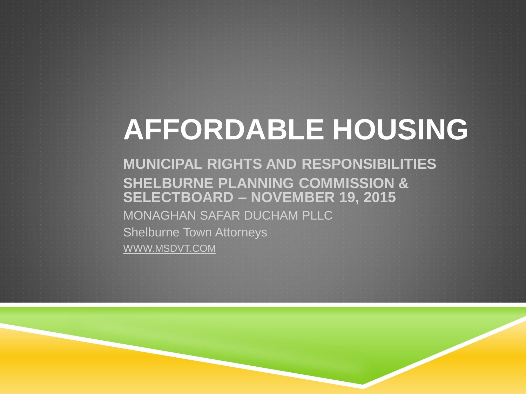# **AFFORDABLE HOUSING**

**MUNICIPAL RIGHTS AND RESPONSIBILITIES SHELBURNE PLANNING COMMISSION & SELECTBOARD – NOVEMBER 19, 2015** MONAGHAN SAFAR DUCHAM PLLC Shelburne Town Attorneys WWW.MSDVT.COM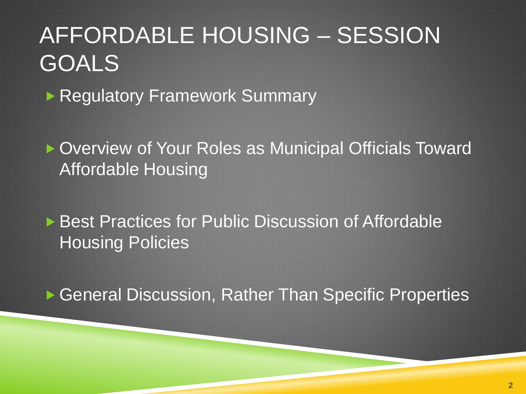## AFFORDABLE HOUSING – SESSION GOALS

**Regulatory Framework Summary** 

▶ Overview of Your Roles as Municipal Officials Toward Affordable Housing

**Best Practices for Public Discussion of Affordable** Housing Policies

▶ General Discussion, Rather Than Specific Properties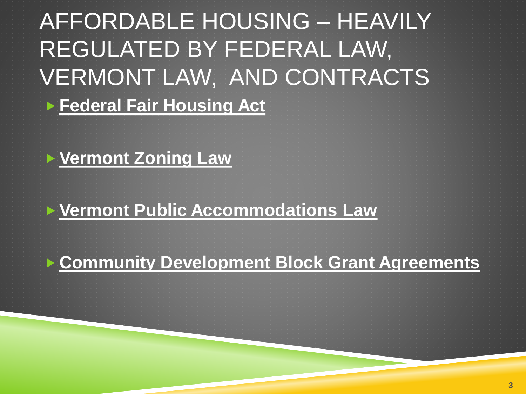#### AFFORDABLE HOUSING – HEAVILY REGULATED BY FEDERAL LAW, VERMONT LAW, AND CONTRACTS **Federal Fair Housing Act**

#### **Vermont Zoning Law**

#### **Vermont Public Accommodations Law**

#### **Community Development Block Grant Agreements**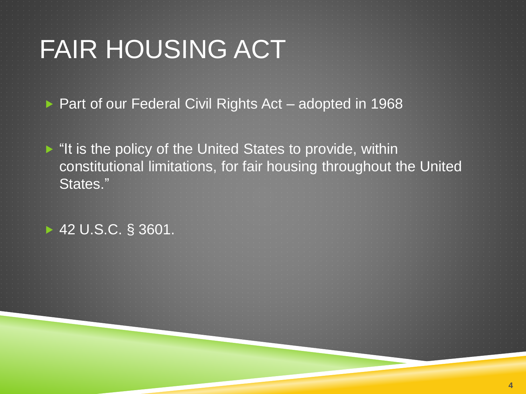▶ Part of our Federal Civil Rights Act – adopted in 1968

 $\blacktriangleright$  "It is the policy of the United States to provide, within constitutional limitations, for fair housing throughout the United States."

► 42 U.S.C. § 3601.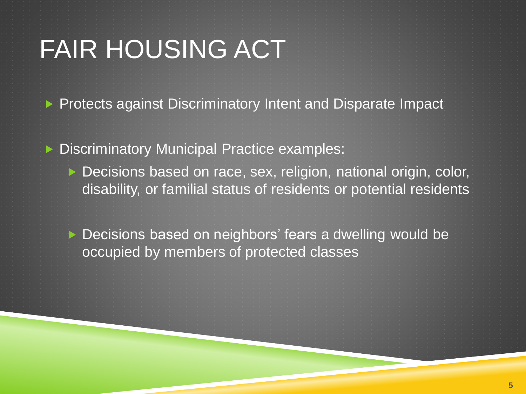- **Protects against Discriminatory Intent and Disparate Impact**
- ▶ Discriminatory Municipal Practice examples:
	- ▶ Decisions based on race, sex, religion, national origin, color, disability, or familial status of residents or potential residents
	- ▶ Decisions based on neighbors' fears a dwelling would be occupied by members of protected classes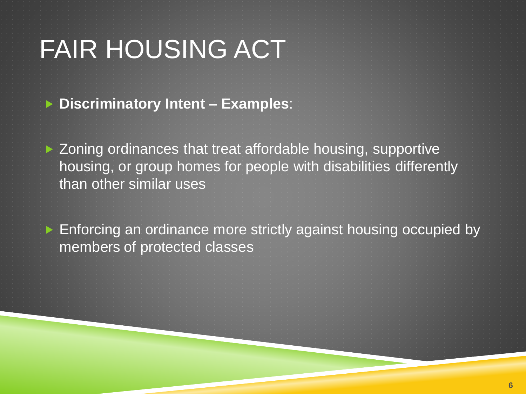**Discriminatory Intent – Examples**:

▶ Zoning ordinances that treat affordable housing, supportive housing, or group homes for people with disabilities differently than other similar uses

► Enforcing an ordinance more strictly against housing occupied by members of protected classes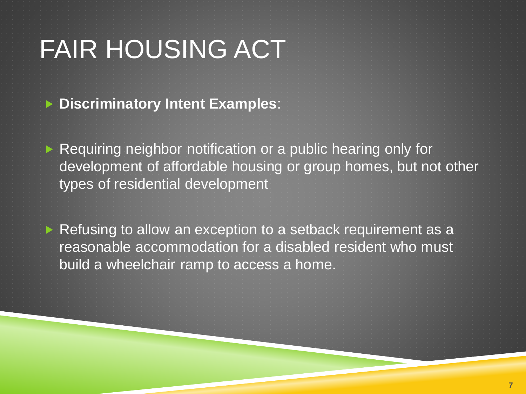**Discriminatory Intent Examples**:

Requiring neighbor notification or a public hearing only for development of affordable housing or group homes, but not other types of residential development

Refusing to allow an exception to a setback requirement as a reasonable accommodation for a disabled resident who must build a wheelchair ramp to access a home.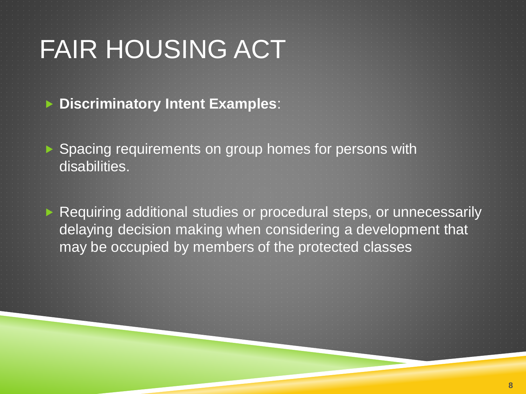**Discriminatory Intent Examples**:

▶ Spacing requirements on group homes for persons with disabilities.

▶ Requiring additional studies or procedural steps, or unnecessarily delaying decision making when considering a development that may be occupied by members of the protected classes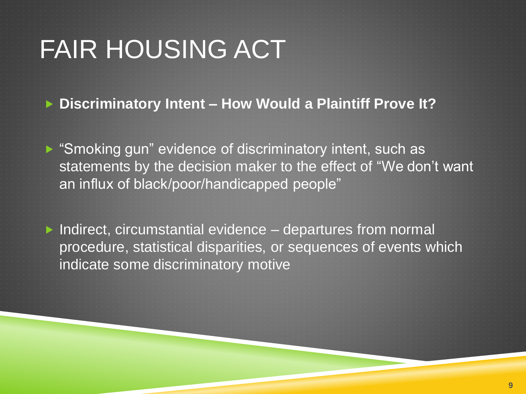**Discriminatory Intent – How Would a Plaintiff Prove It?**

▶ "Smoking gun" evidence of discriminatory intent, such as statements by the decision maker to the effect of "We don't want an influx of black/poor/handicapped people"

 $\blacktriangleright$  Indirect, circumstantial evidence – departures from normal procedure, statistical disparities, or sequences of events which indicate some discriminatory motive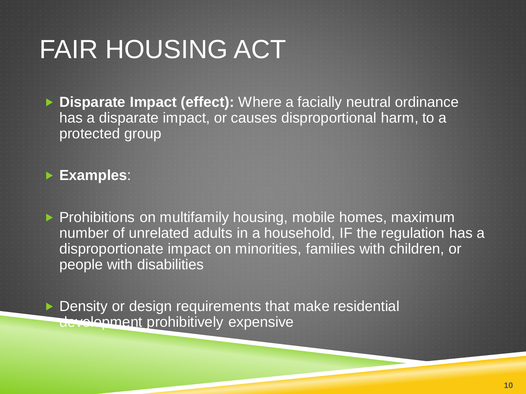**Disparate Impact (effect):** Where a facially neutral ordinance has a disparate impact, or causes disproportional harm, to a protected group

**Examples**:

 $\blacktriangleright$  Prohibitions on multifamily housing, mobile homes, maximum number of unrelated adults in a household, IF the regulation has a disproportionate impact on minorities, families with children, or people with disabilities

▶ Density or design requirements that make residential development prohibitively expensive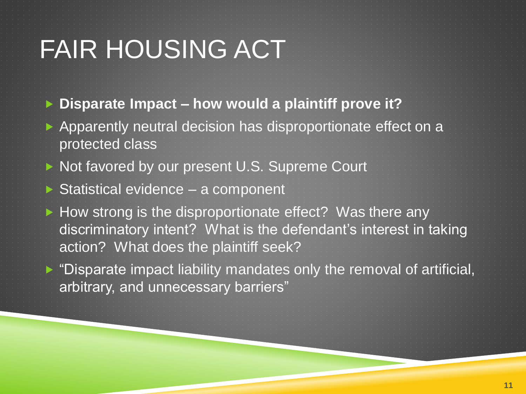- **Disparate Impact – how would a plaintiff prove it?**
- Apparently neutral decision has disproportionate effect on a protected class
- Not favored by our present U.S. Supreme Court
- ▶ Statistical evidence a component
- $\blacktriangleright$  How strong is the disproportionate effect? Was there any discriminatory intent? What is the defendant's interest in taking action? What does the plaintiff seek?
- ▶ "Disparate impact liability mandates only the removal of artificial, arbitrary, and unnecessary barriers"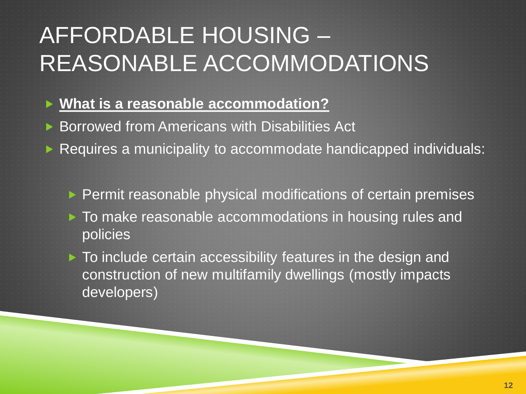### AFFORDABLE HOUSING – REASONABLE ACCOMMODATIONS

- **What is a reasonable accommodation?**
- ▶ Borrowed from Americans with Disabilities Act
- Requires a municipality to accommodate handicapped individuals:
	- $\triangleright$  Permit reasonable physical modifications of certain premises  $\triangleright$  To make reasonable accommodations in housing rules and policies
	- $\blacktriangleright$  To include certain accessibility features in the design and construction of new multifamily dwellings (mostly impacts developers)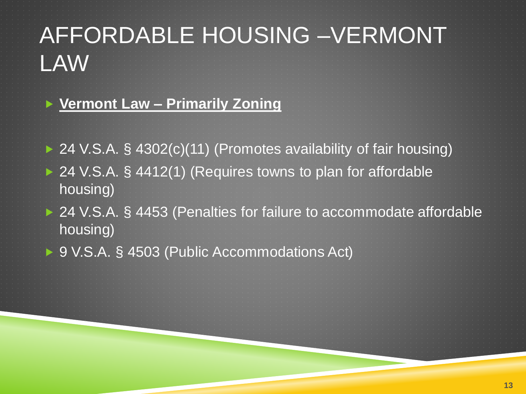#### AFFORDABLE HOUSING –VERMONT LAW

#### **Vermont Law – Primarily Zoning**

- ▶ 24 V.S.A. § 4302(c)(11) (Promotes availability of fair housing) ▶ 24 V.S.A. § 4412(1) (Requires towns to plan for affordable housing)
- ▶ 24 V.S.A. § 4453 (Penalties for failure to accommodate affordable housing)
- ▶ 9 V.S.A. § 4503 (Public Accommodations Act)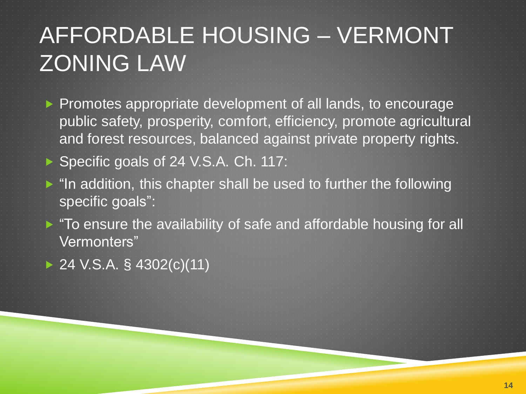**Promotes appropriate development of all lands, to encourage** public safety, prosperity, comfort, efficiency, promote agricultural and forest resources, balanced against private property rights.

Specific goals of 24 V.S.A. Ch. 117:

 $\blacktriangleright$  "In addition, this chapter shall be used to further the following specific goals":

▶ "To ensure the availability of safe and affordable housing for all Vermonters"

 $\triangleright$  24 V.S.A. § 4302(c)(11)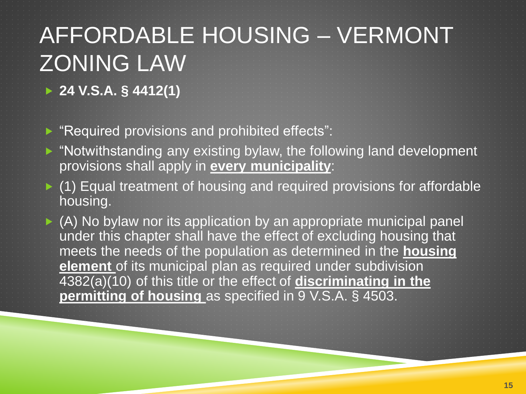**24 V.S.A. § 4412(1)**

**Required provisions and prohibited effects**":

- ▶ "Notwithstanding any existing bylaw, the following land development provisions shall apply in **every municipality**:
- $\blacktriangleright$  (1) Equal treatment of housing and required provisions for affordable housing.

 (A) No bylaw nor its application by an appropriate municipal panel under this chapter shall have the effect of excluding housing that meets the needs of the population as determined in the **housing element** of its municipal plan as required under subdivision 4382(a)(10) of this title or the effect of **discriminating in the permitting of housing** as specified in 9 V.S.A. § 4503.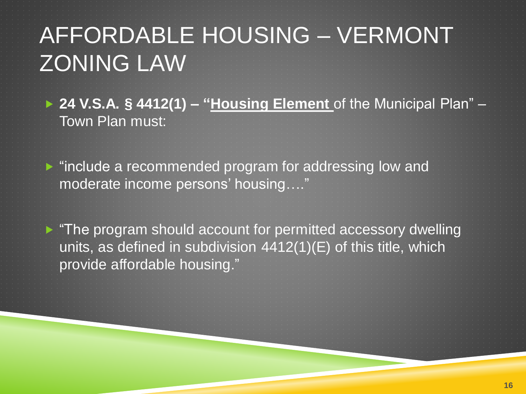- ▶ 24 V.S.A. § 4412(1) "Housing Element of the Municipal Plan" Town Plan must:
- lacktriangleright include a recommended program for addressing low and moderate income persons' housing…."

► "The program should account for permitted accessory dwelling units, as defined in subdivision 4412(1)(E) of this title, which provide affordable housing."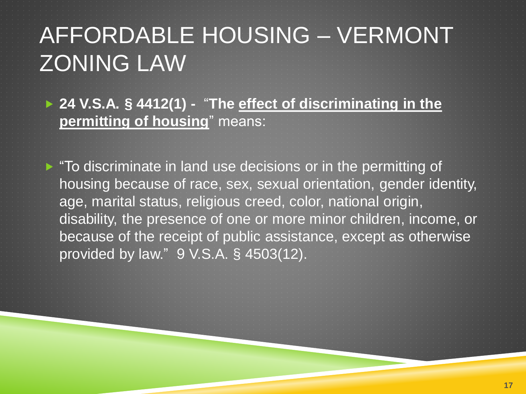**24 V.S.A. § 4412(1) -** "**The effect of discriminating in the permitting of housing**" means:

▶ "To discriminate in land use decisions or in the permitting of housing because of race, sex, sexual orientation, gender identity, age, marital status, religious creed, color, national origin, disability, the presence of one or more minor children, income, or because of the receipt of public assistance, except as otherwise provided by law." 9 V.S.A. § 4503(12).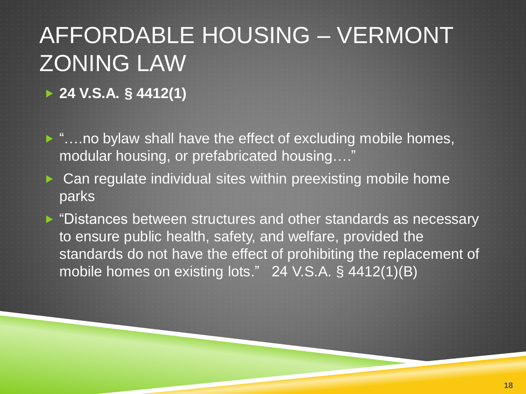**24 V.S.A. § 4412(1)**

- ► "....no bylaw shall have the effect of excluding mobile homes, modular housing, or prefabricated housing…."
- ▶ Can regulate individual sites within preexisting mobile home parks
- ▶ "Distances between structures and other standards as necessary to ensure public health, safety, and welfare, provided the standards do not have the effect of prohibiting the replacement of mobile homes on existing lots." 24 V.S.A. § 4412(1)(B)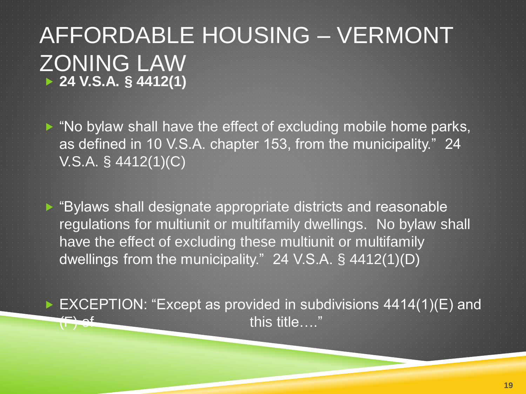AFFORDABLE HOUSING – VERMONT ZONING LAW **24 V.S.A. § 4412(1)**

 $\triangleright$  "No bylaw shall have the effect of excluding mobile home parks, as defined in 10 V.S.A. chapter 153, from the municipality." 24 V.S.A. § 4412(1)(C)

▶ "Bylaws shall designate appropriate districts and reasonable regulations for multiunit or multifamily dwellings. No bylaw shall have the effect of excluding these multiunit or multifamily dwellings from the municipality." 24 V.S.A. § 4412(1)(D)

► EXCEPTION: "Except as provided in subdivisions 4414(1)(E) and this title…."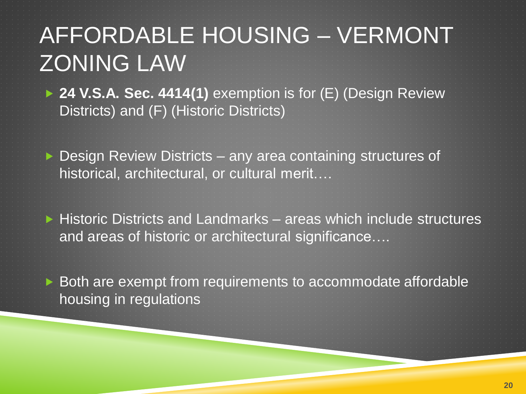▶ 24 V.S.A. Sec. 4414(1) exemption is for (E) (Design Review Districts) and (F) (Historic Districts)

▶ Design Review Districts – any area containing structures of historical, architectural, or cultural merit….

 $\triangleright$  Historic Districts and Landmarks – areas which include structures and areas of historic or architectural significance….

▶ Both are exempt from requirements to accommodate affordable housing in regulations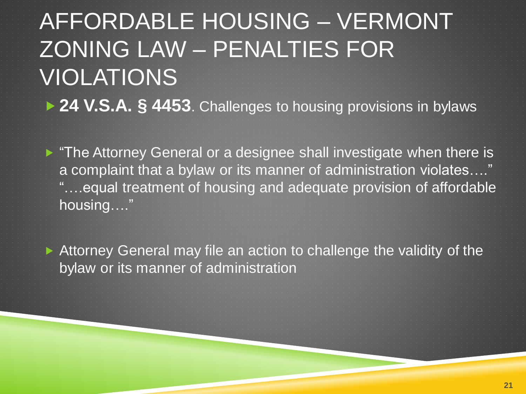#### AFFORDABLE HOUSING – VERMONT ZONING LAW – PENALTIES FOR VIOLATIONS ▶ 24 V.S.A. § 4453. Challenges to housing provisions in bylaws

**F** "The Attorney General or a designee shall investigate when there is a complaint that a bylaw or its manner of administration violates…." "….equal treatment of housing and adequate provision of affordable housing…."

 Attorney General may file an action to challenge the validity of the bylaw or its manner of administration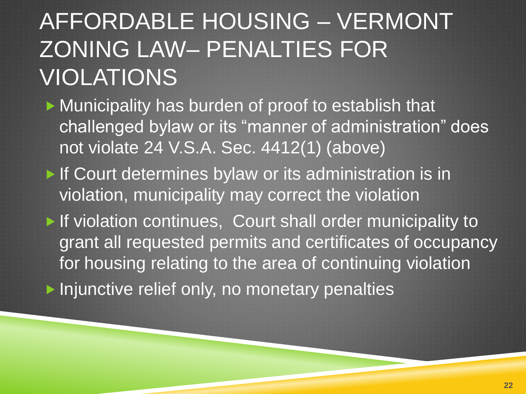### AFFORDABLE HOUSING – VERMONT ZONING LAW– PENALTIES FOR VIOLATIONS

- **Municipality has burden of proof to establish that** challenged bylaw or its "manner of administration" does not violate 24 V.S.A. Sec. 4412(1) (above)
- If Court determines bylaw or its administration is in violation, municipality may correct the violation
- If violation continues, Court shall order municipality to grant all requested permits and certificates of occupancy for housing relating to the area of continuing violation

▶ Injunctive relief only, no monetary penalties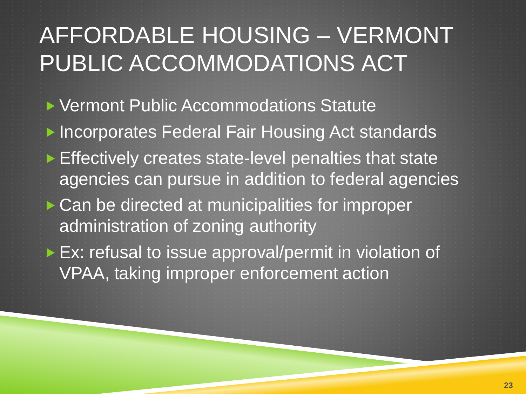#### AFFORDABLE HOUSING – VERMONT PUBLIC ACCOMMODATIONS ACT

- ▶ Vermont Public Accommodations Statute ▶ Incorporates Federal Fair Housing Act standards ▶ Effectively creates state-level penalties that state agencies can pursue in addition to federal agencies Can be directed at municipalities for improper administration of zoning authority ▶ Ex: refusal to issue approval/permit in violation of
	- VPAA, taking improper enforcement action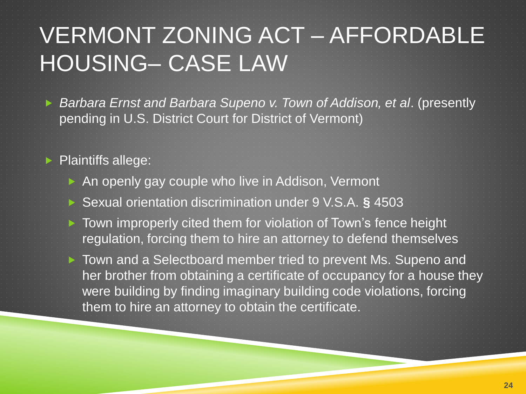#### VERMONT ZONING ACT – AFFORDABLE HOUSING– CASE LAW

 *Barbara Ernst and Barbara Supeno v. Town of Addison, et al*. (presently pending in U.S. District Court for District of Vermont)

**Plaintiffs allege:** 

- An openly gay couple who live in Addison, Vermont
- Sexual orientation discrimination under 9 V.S.A. **§** 4503
- ▶ Town improperly cited them for violation of Town's fence height regulation, forcing them to hire an attorney to defend themselves

▶ Town and a Selectboard member tried to prevent Ms. Supeno and her brother from obtaining a certificate of occupancy for a house they were building by finding imaginary building code violations, forcing them to hire an attorney to obtain the certificate.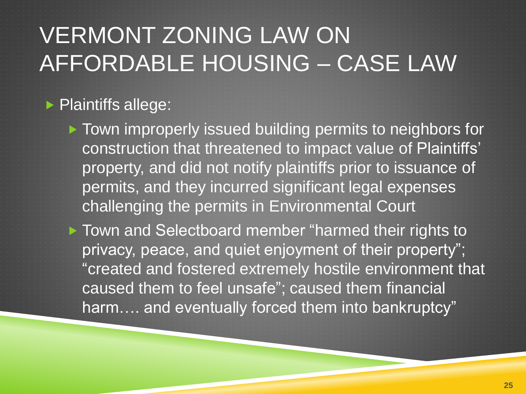#### VERMONT ZONING LAW ON AFFORDABLE HOUSING – CASE LAW

#### **Plaintiffs allege:**

▶ Town improperly issued building permits to neighbors for construction that threatened to impact value of Plaintiffs' property, and did not notify plaintiffs prior to issuance of permits, and they incurred significant legal expenses challenging the permits in Environmental Court

▶ Town and Selectboard member "harmed their rights to privacy, peace, and quiet enjoyment of their property"; "created and fostered extremely hostile environment that caused them to feel unsafe"; caused them financial harm.... and eventually forced them into bankruptcy"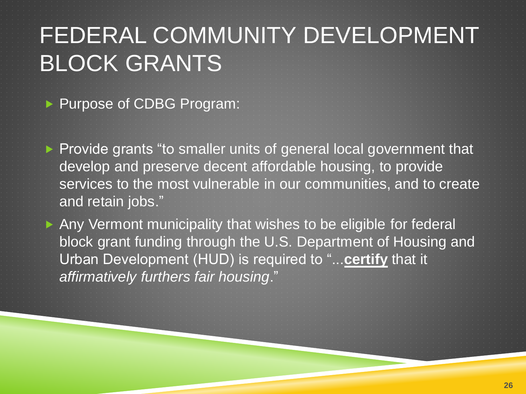## FEDERAL COMMUNITY DEVELOPMENT BLOCK GRANTS

Purpose of CDBG Program:

Provide grants "to smaller units of general local government that develop and preserve decent affordable housing, to provide services to the most vulnerable in our communities, and to create and retain jobs."

Any Vermont municipality that wishes to be eligible for federal block grant funding through the U.S. Department of Housing and Urban Development (HUD) is required to "...**certify** that it *affirmatively furthers fair housing*."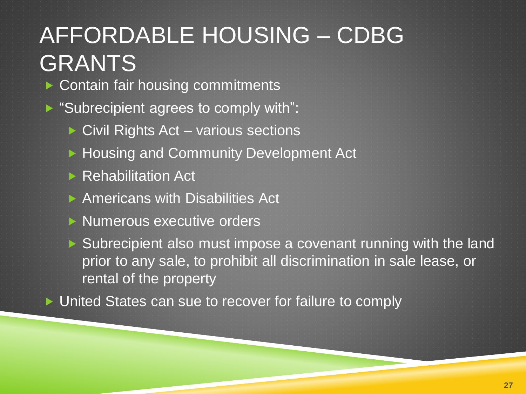#### AFFORDABLE HOUSING – CDBG GRANTS ▶ Contain fair housing commitments Subrecipient agrees to comply with":  $\triangleright$  Civil Rights Act – various sections ▶ Housing and Community Development Act

- ▶ Rehabilitation Act
- ▶ Americans with Disabilities Act
- $\triangleright$  Numerous executive orders

▶ Subrecipient also must impose a covenant running with the land prior to any sale, to prohibit all discrimination in sale lease, or rental of the property

▶ United States can sue to recover for failure to comply